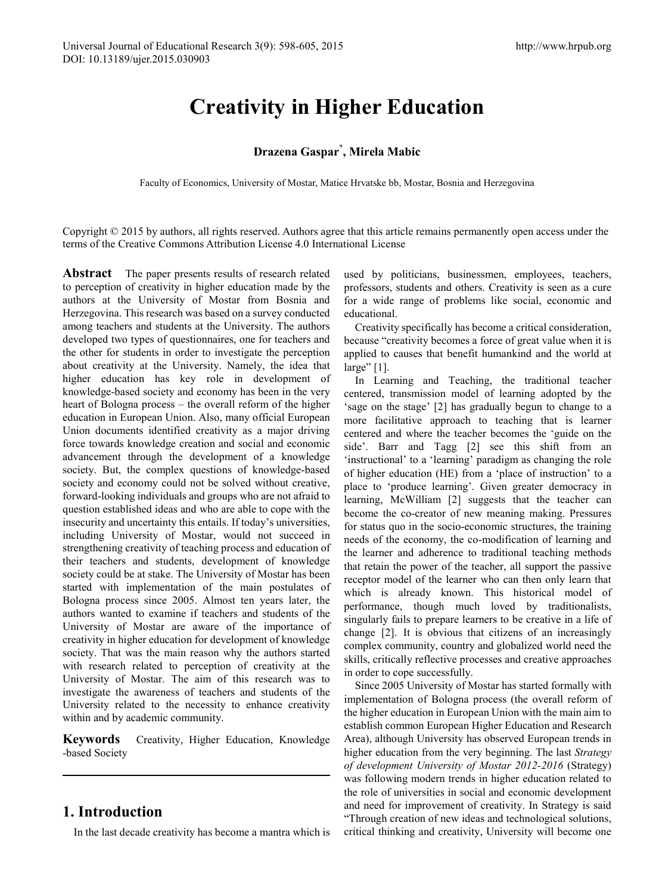# **Creativity in Higher Education**

#### **Drazena Gaspar\* , Mirela Mabic**

Faculty of Economics, University of Mostar, Matice Hrvatske bb, Mostar, Bosnia and Herzegovina

Copyright © 2015 by authors, all rights reserved. Authors agree that this article remains permanently open access under the terms of the Creative Commons Attribution License 4.0 International License

**Abstract** The paper presents results of research related to perception of creativity in higher education made by the authors at the University of Mostar from Bosnia and Herzegovina. This research was based on a survey conducted among teachers and students at the University. The authors developed two types of questionnaires, one for teachers and the other for students in order to investigate the perception about creativity at the University. Namely, the idea that higher education has key role in development of knowledge-based society and economy has been in the very heart of Bologna process – the overall reform of the higher education in European Union. Also, many official European Union documents identified creativity as a major driving force towards knowledge creation and social and economic advancement through the development of a knowledge society. But, the complex questions of knowledge-based society and economy could not be solved without creative, forward-looking individuals and groups who are not afraid to question established ideas and who are able to cope with the insecurity and uncertainty this entails. If today's universities, including University of Mostar, would not succeed in strengthening creativity of teaching process and education of their teachers and students, development of knowledge society could be at stake. The University of Mostar has been started with implementation of the main postulates of Bologna process since 2005. Almost ten years later, the authors wanted to examine if teachers and students of the University of Mostar are aware of the importance of creativity in higher education for development of knowledge society. That was the main reason why the authors started with research related to perception of creativity at the University of Mostar. The aim of this research was to investigate the awareness of teachers and students of the University related to the necessity to enhance creativity within and by academic community.

**Keywords** Creativity, Higher Education, Knowledge -based Society

# **1. Introduction**

In the last decade creativity has become a mantra which is

used by politicians, businessmen, employees, teachers, professors, students and others. Creativity is seen as a cure for a wide range of problems like social, economic and educational.

Creativity specifically has become a critical consideration, because "creativity becomes a force of great value when it is applied to causes that benefit humankind and the world at large" [1].

In Learning and Teaching, the traditional teacher centered, transmission model of learning adopted by the 'sage on the stage' [2] has gradually begun to change to a more facilitative approach to teaching that is learner centered and where the teacher becomes the 'guide on the side'. Barr and Tagg [2] see this shift from an 'instructional' to a 'learning' paradigm as changing the role of higher education (HE) from a 'place of instruction' to a place to 'produce learning'. Given greater democracy in learning, McWilliam [2] suggests that the teacher can become the co-creator of new meaning making. Pressures for status quo in the socio-economic structures, the training needs of the economy, the co-modification of learning and the learner and adherence to traditional teaching methods that retain the power of the teacher, all support the passive receptor model of the learner who can then only learn that which is already known. This historical model of performance, though much loved by traditionalists, singularly fails to prepare learners to be creative in a life of change [2]. It is obvious that citizens of an increasingly complex community, country and globalized world need the skills, critically reflective processes and creative approaches in order to cope successfully.

Since 2005 University of Mostar has started formally with implementation of Bologna process (the overall reform of the higher education in European Union with the main aim to establish common European Higher Education and Research Area), although University has observed European trends in higher education from the very beginning. The last *Strategy of development University of Mostar 2012-2016* (Strategy) was following modern trends in higher education related to the role of universities in social and economic development and need for improvement of creativity. In Strategy is said "Through creation of new ideas and technological solutions, critical thinking and creativity, University will become one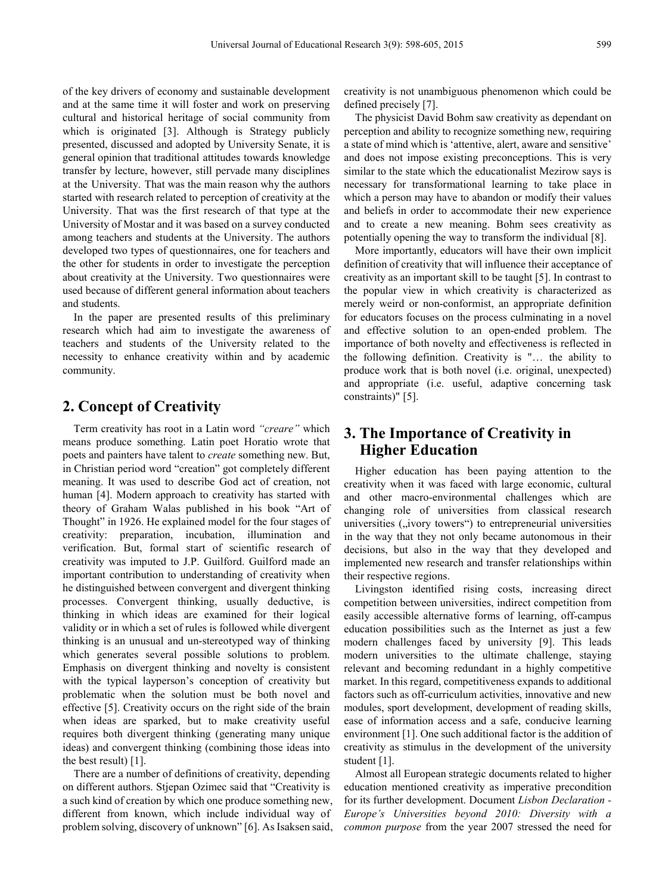of the key drivers of economy and sustainable development and at the same time it will foster and work on preserving cultural and historical heritage of social community from which is originated [3]. Although is Strategy publicly presented, discussed and adopted by University Senate, it is general opinion that traditional attitudes towards knowledge transfer by lecture, however, still pervade many disciplines at the University. That was the main reason why the authors started with research related to perception of creativity at the University. That was the first research of that type at the University of Mostar and it was based on a survey conducted among teachers and students at the University. The authors developed two types of questionnaires, one for teachers and the other for students in order to investigate the perception about creativity at the University. Two questionnaires were used because of different general information about teachers and students.

In the paper are presented results of this preliminary research which had aim to investigate the awareness of teachers and students of the University related to the necessity to enhance creativity within and by academic community.

## **2. Concept of Creativity**

Term creativity has root in a Latin word *"creare"* which means produce something. Latin poet Horatio wrote that poets and painters have talent to *create* something new. But, in Christian period word "creation" got completely different meaning. It was used to describe God act of creation, not human [4]. Modern approach to creativity has started with theory of Graham Walas published in his book "Art of Thought" in 1926. He explained model for the four stages of creativity: preparation, incubation, illumination and verification. But, formal start of scientific research of creativity was imputed to J.P. Guilford. Guilford made an important contribution to understanding of creativity when he distinguished between convergent and divergent thinking processes. Convergent thinking, usually deductive, is thinking in which ideas are examined for their logical validity or in which a set of rules is followed while divergent thinking is an unusual and un-stereotyped way of thinking which generates several possible solutions to problem. Emphasis on divergent thinking and novelty is consistent with the typical layperson's conception of creativity but problematic when the solution must be both novel and effective [5]. Creativity occurs on the right side of the brain when ideas are sparked, but to make creativity useful requires both divergent thinking (generating many unique ideas) and convergent thinking (combining those ideas into the best result) [1].

There are a number of definitions of creativity, depending on different authors. Stjepan Ozimec said that "Creativity is a such kind of creation by which one produce something new, different from known, which include individual way of problem solving, discovery of unknown" [6]. As Isaksen said, creativity is not unambiguous phenomenon which could be defined precisely [7].

The physicist David Bohm saw creativity as dependant on perception and ability to recognize something new, requiring a state of mind which is 'attentive, alert, aware and sensitive' and does not impose existing preconceptions. This is very similar to the state which the educationalist Mezirow says is necessary for transformational learning to take place in which a person may have to abandon or modify their values and beliefs in order to accommodate their new experience and to create a new meaning. Bohm sees creativity as potentially opening the way to transform the individual [8].

More importantly, educators will have their own implicit definition of creativity that will influence their acceptance of creativity as an important skill to be taught [5]. In contrast to the popular view in which creativity is characterized as merely weird or non-conformist, an appropriate definition for educators focuses on the process culminating in a novel and effective solution to an open-ended problem. The importance of both novelty and effectiveness is reflected in the following definition. Creativity is "… the ability to produce work that is both novel (i.e. original, unexpected) and appropriate (i.e. useful, adaptive concerning task constraints)" [5].

#### **3. The Importance of Creativity in Higher Education**

Higher education has been paying attention to the creativity when it was faced with large economic, cultural and other macro-environmental challenges which are changing role of universities from classical research universities (, ivory towers ") to entrepreneurial universities in the way that they not only became autonomous in their decisions, but also in the way that they developed and implemented new research and transfer relationships within their respective regions.

Livingston identified rising costs, increasing direct competition between universities, indirect competition from easily accessible alternative forms of learning, off-campus education possibilities such as the Internet as just a few modern challenges faced by university [9]. This leads modern universities to the ultimate challenge, staying relevant and becoming redundant in a highly competitive market. In this regard, competitiveness expands to additional factors such as off-curriculum activities, innovative and new modules, sport development, development of reading skills, ease of information access and a safe, conducive learning environment [1]. One such additional factor is the addition of creativity as stimulus in the development of the university student [1].

Almost all European strategic documents related to higher education mentioned creativity as imperative precondition for its further development. Document *Lisbon Declaration - Europe's Universities beyond 2010: Diversity with a common purpose* from the year 2007 stressed the need for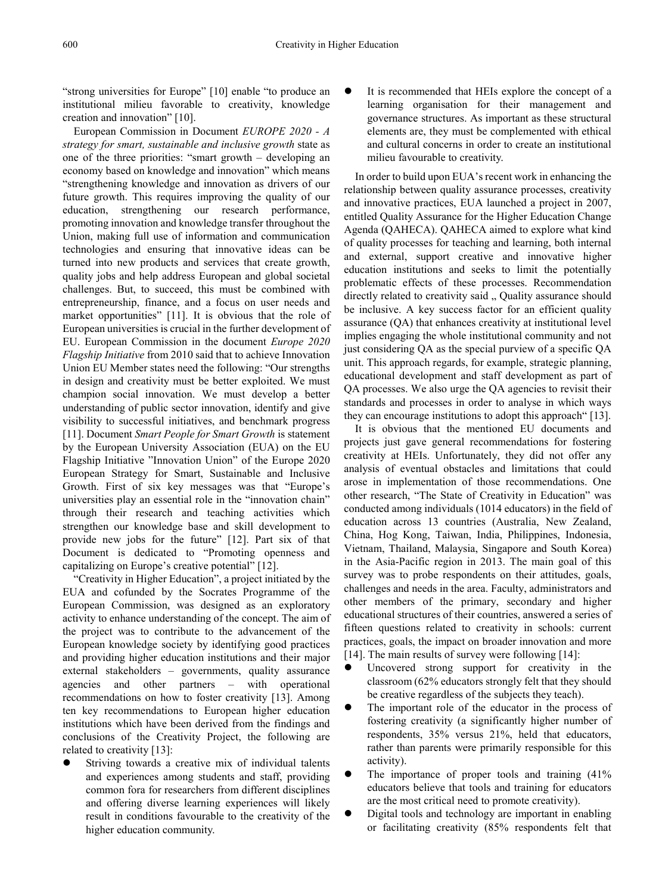"strong universities for Europe" [10] enable "to produce an institutional milieu favorable to creativity, knowledge creation and innovation" [10].

European Commission in Document *EUROPE 2020 - A strategy for smart, sustainable and inclusive growth* state as one of the three priorities: "smart growth – developing an economy based on knowledge and innovation" which means "strengthening knowledge and innovation as drivers of our future growth. This requires improving the quality of our education, strengthening our research performance, promoting innovation and knowledge transfer throughout the Union, making full use of information and communication technologies and ensuring that innovative ideas can be turned into new products and services that create growth, quality jobs and help address European and global societal challenges. But, to succeed, this must be combined with entrepreneurship, finance, and a focus on user needs and market opportunities" [11]. It is obvious that the role of European universities is crucial in the further development of EU. European Commission in the document *Europe 2020 Flagship Initiative* from 2010 said that to achieve Innovation Union EU Member states need the following: "Our strengths in design and creativity must be better exploited. We must champion social innovation. We must develop a better understanding of public sector innovation, identify and give visibility to successful initiatives, and benchmark progress [11]. Document *Smart People for Smart Growth* is statement by the European University Association (EUA) on the EU Flagship Initiative "Innovation Union" of the Europe 2020 European Strategy for Smart, Sustainable and Inclusive Growth. First of six key messages was that "Europe's universities play an essential role in the "innovation chain" through their research and teaching activities which strengthen our knowledge base and skill development to provide new jobs for the future" [12]. Part six of that Document is dedicated to "Promoting openness and capitalizing on Europe's creative potential" [12].

"Creativity in Higher Education", a project initiated by the EUA and cofunded by the Socrates Programme of the European Commission, was designed as an exploratory activity to enhance understanding of the concept. The aim of the project was to contribute to the advancement of the European knowledge society by identifying good practices and providing higher education institutions and their major external stakeholders – governments, quality assurance agencies and other partners – with operational recommendations on how to foster creativity [13]. Among ten key recommendations to European higher education institutions which have been derived from the findings and conclusions of the Creativity Project, the following are related to creativity [13]:

 Striving towards a creative mix of individual talents and experiences among students and staff, providing common fora for researchers from different disciplines and offering diverse learning experiences will likely result in conditions favourable to the creativity of the higher education community.

 It is recommended that HEIs explore the concept of a learning organisation for their management and governance structures. As important as these structural elements are, they must be complemented with ethical and cultural concerns in order to create an institutional milieu favourable to creativity.

In order to build upon EUA's recent work in enhancing the relationship between quality assurance processes, creativity and innovative practices, EUA launched a project in 2007, entitled Quality Assurance for the Higher Education Change Agenda (QAHECA). QAHECA aimed to explore what kind of quality processes for teaching and learning, both internal and external, support creative and innovative higher education institutions and seeks to limit the potentially problematic effects of these processes. Recommendation directly related to creativity said ., Quality assurance should be inclusive. A key success factor for an efficient quality assurance (QA) that enhances creativity at institutional level implies engaging the whole institutional community and not just considering OA as the special purview of a specific OA unit. This approach regards, for example, strategic planning, educational development and staff development as part of QA processes. We also urge the QA agencies to revisit their standards and processes in order to analyse in which ways they can encourage institutions to adopt this approach" [13].

It is obvious that the mentioned EU documents and projects just gave general recommendations for fostering creativity at HEIs. Unfortunately, they did not offer any analysis of eventual obstacles and limitations that could arose in implementation of those recommendations. One other research, "The State of Creativity in Education" was conducted among individuals (1014 educators) in the field of education across 13 countries (Australia, New Zealand, China, Hog Kong, Taiwan, India, Philippines, Indonesia, Vietnam, Thailand, Malaysia, Singapore and South Korea) in the Asia-Pacific region in 2013. The main goal of this survey was to probe respondents on their attitudes, goals, challenges and needs in the area. Faculty, administrators and other members of the primary, secondary and higher educational structures of their countries, answered a series of fifteen questions related to creativity in schools: current practices, goals, the impact on broader innovation and more [14]. The main results of survey were following [14]:

- Uncovered strong support for creativity in the classroom (62% educators strongly felt that they should be creative regardless of the subjects they teach).
- The important role of the educator in the process of fostering creativity (a significantly higher number of respondents, 35% versus 21%, held that educators, rather than parents were primarily responsible for this activity).
- The importance of proper tools and training (41% educators believe that tools and training for educators are the most critical need to promote creativity).
- Digital tools and technology are important in enabling or facilitating creativity (85% respondents felt that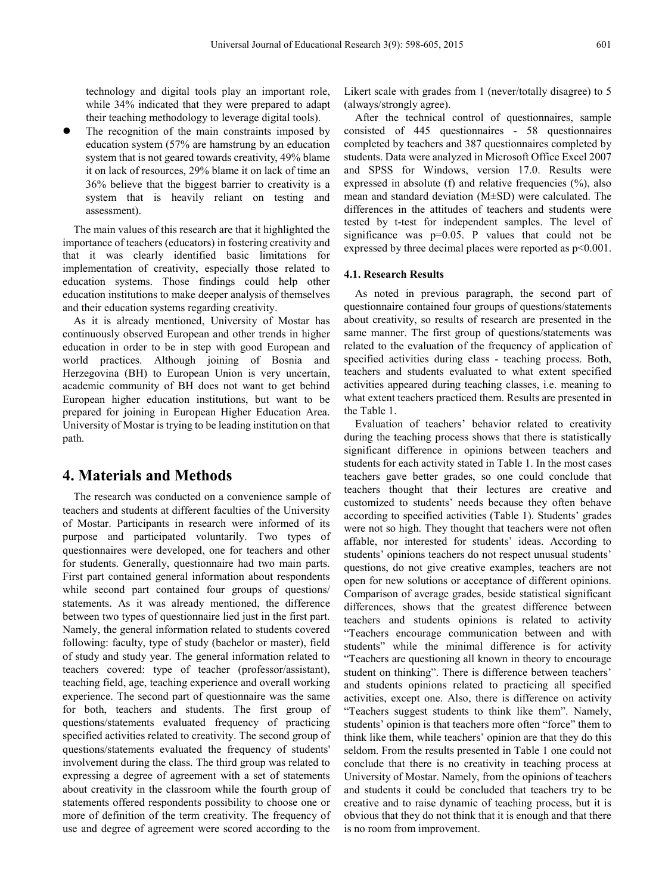technology and digital tools play an important role, while 34% indicated that they were prepared to adapt their teaching methodology to leverage digital tools).

 The recognition of the main constraints imposed by education system (57% are hamstrung by an education system that is not geared towards creativity, 49% blame it on lack of resources, 29% blame it on lack of time an 36% believe that the biggest barrier to creativity is a system that is heavily reliant on testing and assessment).

The main values of this research are that it highlighted the importance of teachers (educators) in fostering creativity and that it was clearly identified basic limitations for implementation of creativity, especially those related to education systems. Those findings could help other education institutions to make deeper analysis of themselves and their education systems regarding creativity.

As it is already mentioned, University of Mostar has continuously observed European and other trends in higher education in order to be in step with good European and world practices. Although joining of Bosnia and Herzegovina (BH) to European Union is very uncertain, academic community of BH does not want to get behind European higher education institutions, but want to be prepared for joining in European Higher Education Area. University of Mostar is trying to be leading institution on that path.

#### **4. Materials and Methods**

The research was conducted on a convenience sample of teachers and students at different faculties of the University of Mostar. Participants in research were informed of its purpose and participated voluntarily. Two types of questionnaires were developed, one for teachers and other for students. Generally, questionnaire had two main parts. First part contained general information about respondents while second part contained four groups of questions/ statements. As it was already mentioned, the difference between two types of questionnaire lied just in the first part. Namely, the general information related to students covered following: faculty, type of study (bachelor or master), field of study and study year. The general information related to teachers covered: type of teacher (professor/assistant), teaching field, age, teaching experience and overall working experience. The second part of questionnaire was the same for both, teachers and students. The first group of questions/statements evaluated frequency of practicing specified activities related to creativity. The second group of questions/statements evaluated the frequency of students' involvement during the class. The third group was related to expressing a degree of agreement with a set of statements about creativity in the classroom while the fourth group of statements offered respondents possibility to choose one or more of definition of the term creativity. The frequency of use and degree of agreement were scored according to the

Likert scale with grades from 1 (never/totally disagree) to 5 (always/strongly agree).

After the technical control of questionnaires, sample consisted of 445 questionnaires - 58 questionnaires completed by teachers and 387 questionnaires completed by students. Data were analyzed in Microsoft Office Excel 2007 and SPSS for Windows, version 17.0. Results were expressed in absolute (f) and relative frequencies  $(\%)$ , also mean and standard deviation (M±SD) were calculated. The differences in the attitudes of teachers and students were tested by t-test for independent samples. The level of significance was  $p=0.05$ . P values that could not be expressed by three decimal places were reported as p<0.001.

#### **4.1. Research Results**

As noted in previous paragraph, the second part of questionnaire contained four groups of questions/statements about creativity, so results of research are presented in the same manner. The first group of questions/statements was related to the evaluation of the frequency of application of specified activities during class - teaching process. Both, teachers and students evaluated to what extent specified activities appeared during teaching classes, i.e. meaning to what extent teachers practiced them. Results are presented in the Table 1.

Evaluation of teachers' behavior related to creativity during the teaching process shows that there is statistically significant difference in opinions between teachers and students for each activity stated in Table 1. In the most cases teachers gave better grades, so one could conclude that teachers thought that their lectures are creative and customized to students' needs because they often behave according to specified activities (Table 1). Students' grades were not so high. They thought that teachers were not often affable, nor interested for students' ideas. According to students' opinions teachers do not respect unusual students' questions, do not give creative examples, teachers are not open for new solutions or acceptance of different opinions. Comparison of average grades, beside statistical significant differences, shows that the greatest difference between teachers and students opinions is related to activity "Teachers encourage communication between and with students" while the minimal difference is for activity "Teachers are questioning all known in theory to encourage student on thinking". There is difference between teachers' and students opinions related to practicing all specified activities, except one. Also, there is difference on activity "Teachers suggest students to think like them". Namely, students' opinion is that teachers more often "force" them to think like them, while teachers' opinion are that they do this seldom. From the results presented in Table 1 one could not conclude that there is no creativity in teaching process at University of Mostar. Namely, from the opinions of teachers and students it could be concluded that teachers try to be creative and to raise dynamic of teaching process, but it is obvious that they do not think that it is enough and that there is no room from improvement.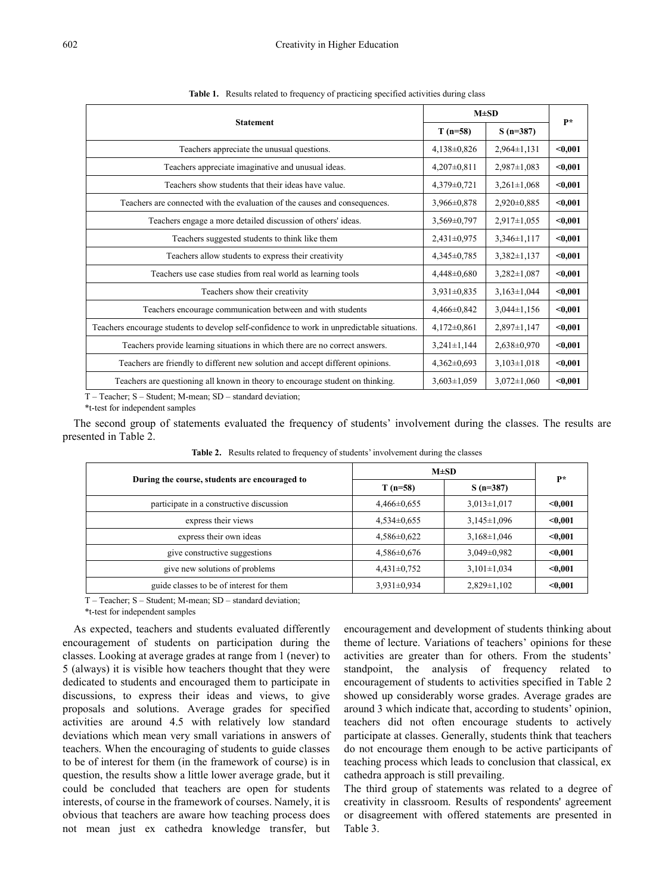|                                                                                             |                   | $M\pm SD$         |         |  |
|---------------------------------------------------------------------------------------------|-------------------|-------------------|---------|--|
| <b>Statement</b>                                                                            | $T(n=58)$         | $S(n=387)$        | $P*$    |  |
| Teachers appreciate the unusual questions.                                                  | $4,138\pm0,826$   | $2,964\pm1,131$   | $0.001$ |  |
| Teachers appreciate imaginative and unusual ideas.                                          | 4,207±0,811       | $2,987 \pm 1,083$ | $0.001$ |  |
| Teachers show students that their ideas have value.                                         | $4,379\pm0,721$   | $3,261 \pm 1,068$ | $0,001$ |  |
| Teachers are connected with the evaluation of the causes and consequences.                  | 3,966±0,878       | $2,920 \pm 0,885$ | $0,001$ |  |
| Teachers engage a more detailed discussion of others' ideas.                                | $3,569 \pm 0,797$ | $2,917 \pm 1,055$ | $0,001$ |  |
| Teachers suggested students to think like them                                              | $2,431\pm0,975$   | $3,346 \pm 1,117$ | $0,001$ |  |
| Teachers allow students to express their creativity                                         | $4,345 \pm 0,785$ | $3,382 \pm 1,137$ | $0.001$ |  |
| Teachers use case studies from real world as learning tools                                 | $4,448 \pm 0,680$ | 3,282±1,087       | $0.001$ |  |
| Teachers show their creativity                                                              | $3,931 \pm 0,835$ | $3,163 \pm 1,044$ | $0,001$ |  |
| Teachers encourage communication between and with students                                  | $4,466 \pm 0,842$ | $3,044\pm1,156$   | $0.001$ |  |
| Teachers encourage students to develop self-confidence to work in unpredictable situations. | $4,172\pm0,861$   | $2,897\pm1,147$   | $0.001$ |  |
| Teachers provide learning situations in which there are no correct answers.                 | $3,241 \pm 1,144$ | 2,638±0,970       | $0.001$ |  |
| Teachers are friendly to different new solution and accept different opinions.              | $4,362\pm0,693$   | $3,103\pm1,018$   | $0.001$ |  |
| Teachers are questioning all known in theory to encourage student on thinking.              | $3,603 \pm 1,059$ | $3,072 \pm 1,060$ | $0.001$ |  |

**Table 1.** Results related to frequency of practicing specified activities during class

T – Teacher; S – Student; M-mean; SD – standard deviation;

\*t-test for independent samples

The second group of statements evaluated the frequency of students' involvement during the classes. The results are presented in Table 2.

| During the course, students are encouraged to | $M\pm SD$         | $\mathbf{p}$      |         |
|-----------------------------------------------|-------------------|-------------------|---------|
|                                               | $T(n=58)$         | $S(n=387)$        |         |
| participate in a constructive discussion      | $4,466 \pm 0,655$ | $3.013 \pm 1.017$ | < 0.001 |
| express their views                           | $4,534\pm0,655$   | $3,145\pm1,096$   | $0.001$ |
| express their own ideas                       | $4,586 \pm 0,622$ | $3,168\pm1,046$   | $0.001$ |
| give constructive suggestions                 | $4,586 \pm 0,676$ | $3,049\pm0,982$   | $0.001$ |
| give new solutions of problems                | $4,431\pm0,752$   | $3,101\pm1,034$   | $0.001$ |
| guide classes to be of interest for them      | $3,931\pm0,934$   | $2,829\pm1,102$   | $0.001$ |

**Table 2.** Results related to frequency of students' involvement during the classes

T – Teacher; S – Student; M-mean; SD – standard deviation;

\*t-test for independent samples

As expected, teachers and students evaluated differently encouragement of students on participation during the classes. Looking at average grades at range from 1 (never) to 5 (always) it is visible how teachers thought that they were dedicated to students and encouraged them to participate in discussions, to express their ideas and views, to give proposals and solutions. Average grades for specified activities are around 4.5 with relatively low standard deviations which mean very small variations in answers of teachers. When the encouraging of students to guide classes to be of interest for them (in the framework of course) is in question, the results show a little lower average grade, but it could be concluded that teachers are open for students interests, of course in the framework of courses. Namely, it is obvious that teachers are aware how teaching process does not mean just ex cathedra knowledge transfer, but

encouragement and development of students thinking about theme of lecture. Variations of teachers' opinions for these activities are greater than for others. From the students' standpoint, the analysis of frequency related to encouragement of students to activities specified in Table 2 showed up considerably worse grades. Average grades are around 3 which indicate that, according to students' opinion, teachers did not often encourage students to actively participate at classes. Generally, students think that teachers do not encourage them enough to be active participants of teaching process which leads to conclusion that classical, ex cathedra approach is still prevailing.

The third group of statements was related to a degree of creativity in classroom. Results of respondents' agreement or disagreement with offered statements are presented in Table 3.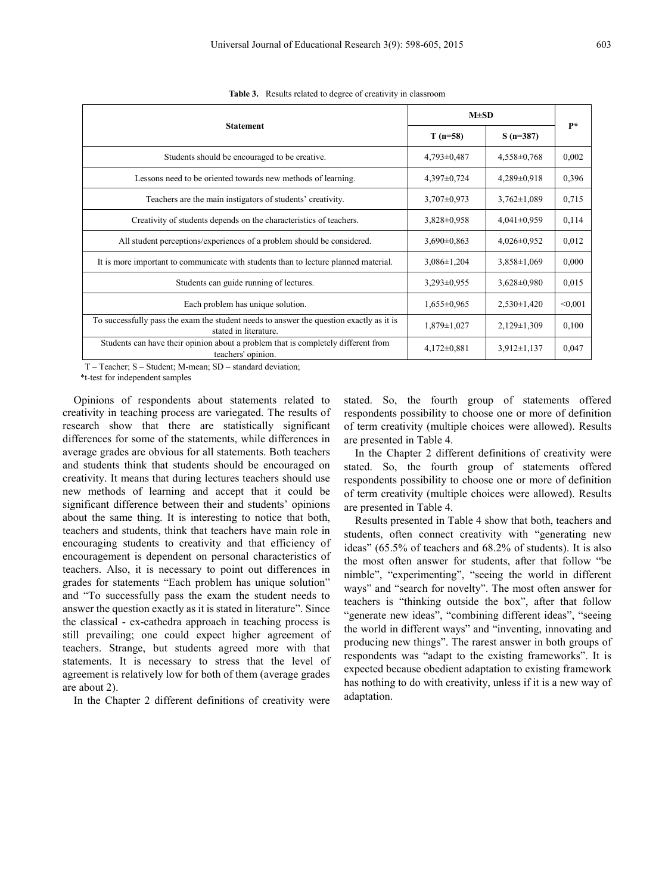|                                                                                                                  | $M \pm SD$        |                   | $P*$    |
|------------------------------------------------------------------------------------------------------------------|-------------------|-------------------|---------|
| <b>Statement</b>                                                                                                 | $T(n=58)$         | $S(n=387)$        |         |
| Students should be encouraged to be creative.                                                                    | $4,793\pm0,487$   | $4,558\pm0,768$   | 0,002   |
| Lessons need to be oriented towards new methods of learning.                                                     | $4,397\pm0,724$   | $4,289\pm0.918$   | 0,396   |
| Teachers are the main instigators of students' creativity.                                                       | $3,707\pm0.973$   | $3,762 \pm 1,089$ | 0,715   |
| Creativity of students depends on the characteristics of teachers.                                               | $3,828 \pm 0,958$ | $4,041\pm0,959$   | 0,114   |
| All student perceptions/experiences of a problem should be considered.                                           | $3,690\pm0.863$   | $4,026\pm0,952$   | 0,012   |
| It is more important to communicate with students than to lecture planned material.                              | $3,086 \pm 1,204$ | $3,858 \pm 1,069$ | 0,000   |
| Students can guide running of lectures.                                                                          | $3,293\pm0.955$   | $3,628 \pm 0,980$ | 0.015   |
| Each problem has unique solution.                                                                                | $1,655\pm0.965$   | $2,530\pm1,420$   | < 0.001 |
| To successfully pass the exam the student needs to answer the question exactly as it is<br>stated in literature. | $1,879 \pm 1,027$ | $2,129\pm1,309$   | 0,100   |
| Students can have their opinion about a problem that is completely different from<br>teachers' opinion.          | $4,172\pm0,881$   | $3,912 \pm 1,137$ | 0,047   |

**Table 3.** Results related to degree of creativity in classroom

T – Teacher; S – Student; M-mean; SD – standard deviation;

\*t-test for independent samples

Opinions of respondents about statements related to creativity in teaching process are variegated. The results of research show that there are statistically significant differences for some of the statements, while differences in average grades are obvious for all statements. Both teachers and students think that students should be encouraged on creativity. It means that during lectures teachers should use new methods of learning and accept that it could be significant difference between their and students' opinions about the same thing. It is interesting to notice that both, teachers and students, think that teachers have main role in encouraging students to creativity and that efficiency of encouragement is dependent on personal characteristics of teachers. Also, it is necessary to point out differences in grades for statements "Each problem has unique solution" and "To successfully pass the exam the student needs to answer the question exactly as it is stated in literature". Since the classical - ex-cathedra approach in teaching process is still prevailing; one could expect higher agreement of teachers. Strange, but students agreed more with that statements. It is necessary to stress that the level of agreement is relatively low for both of them (average grades are about 2).

In the Chapter 2 different definitions of creativity were

stated. So, the fourth group of statements offered respondents possibility to choose one or more of definition of term creativity (multiple choices were allowed). Results are presented in Table 4.

In the Chapter 2 different definitions of creativity were stated. So, the fourth group of statements offered respondents possibility to choose one or more of definition of term creativity (multiple choices were allowed). Results are presented in Table 4.

Results presented in Table 4 show that both, teachers and students, often connect creativity with "generating new ideas" (65.5% of teachers and 68.2% of students). It is also the most often answer for students, after that follow "be nimble", "experimenting", "seeing the world in different ways" and "search for novelty". The most often answer for teachers is "thinking outside the box", after that follow "generate new ideas", "combining different ideas", "seeing the world in different ways" and "inventing, innovating and producing new things". The rarest answer in both groups of respondents was "adapt to the existing frameworks". It is expected because obedient adaptation to existing framework has nothing to do with creativity, unless if it is a new way of adaptation.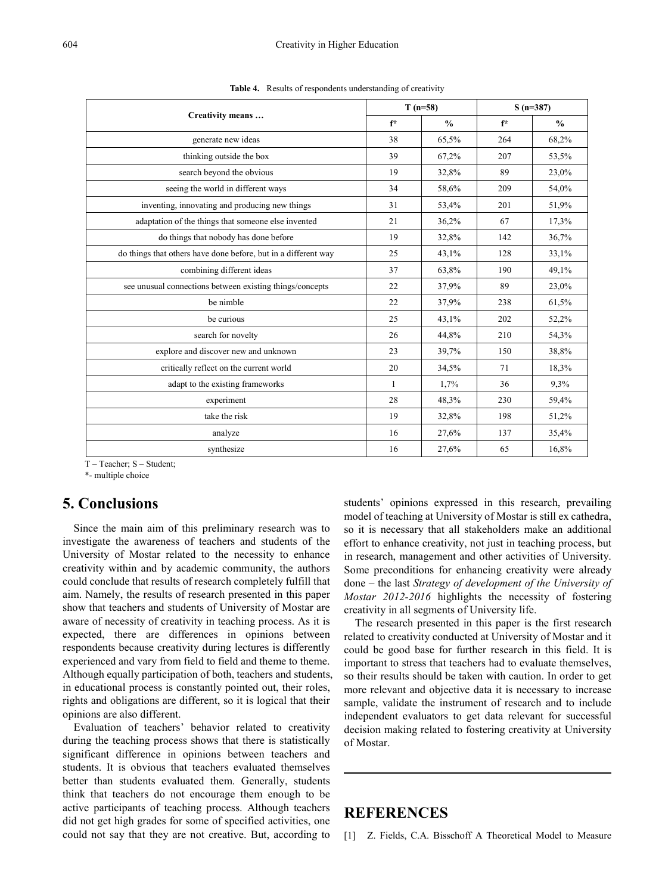| Creativity means                                               | $T(n=58)$ |               | $S(n=387)$ |               |
|----------------------------------------------------------------|-----------|---------------|------------|---------------|
|                                                                | $f^*$     | $\frac{0}{0}$ | $f^*$      | $\frac{0}{0}$ |
| generate new ideas                                             | 38        | 65,5%         | 264        | 68,2%         |
| thinking outside the box                                       | 39        | 67,2%         | 207        | 53,5%         |
| search beyond the obvious                                      | 19        | 32,8%         | 89         | 23,0%         |
| seeing the world in different ways                             | 34        | 58,6%         | 209        | 54,0%         |
| inventing, innovating and producing new things                 | 31        | 53,4%         | 201        | 51,9%         |
| adaptation of the things that someone else invented            | 21        | 36,2%         | 67         | 17,3%         |
| do things that nobody has done before                          | 19        | 32,8%         | 142        | 36,7%         |
| do things that others have done before, but in a different way | 25        | 43,1%         | 128        | 33,1%         |
| combining different ideas                                      | 37        | 63,8%         | 190        | 49,1%         |
| see unusual connections between existing things/concepts       | 22        | 37,9%         | 89         | 23,0%         |
| be nimble                                                      | 22        | 37,9%         | 238        | 61,5%         |
| be curious                                                     | 25        | 43,1%         | 202        | 52,2%         |
| search for novelty                                             | 26        | 44,8%         | 210        | 54,3%         |
| explore and discover new and unknown                           | 23        | 39,7%         | 150        | 38,8%         |
| critically reflect on the current world                        | 20        | 34,5%         | 71         | 18,3%         |
| adapt to the existing frameworks                               | 1         | 1,7%          | 36         | 9,3%          |
| experiment                                                     | 28        | 48,3%         | 230        | 59,4%         |
| take the risk                                                  | 19        | 32,8%         | 198        | 51,2%         |
| analyze                                                        | 16        | 27,6%         | 137        | 35,4%         |
| synthesize                                                     | 16        | 27,6%         | 65         | 16,8%         |

**Table 4.** Results of respondents understanding of creativity

T – Teacher; S – Student;

\*- multiple choice

#### **5. Conclusions**

Since the main aim of this preliminary research was to investigate the awareness of teachers and students of the University of Mostar related to the necessity to enhance creativity within and by academic community, the authors could conclude that results of research completely fulfill that aim. Namely, the results of research presented in this paper show that teachers and students of University of Mostar are aware of necessity of creativity in teaching process. As it is expected, there are differences in opinions between respondents because creativity during lectures is differently experienced and vary from field to field and theme to theme. Although equally participation of both, teachers and students, in educational process is constantly pointed out, their roles, rights and obligations are different, so it is logical that their opinions are also different.

Evaluation of teachers' behavior related to creativity during the teaching process shows that there is statistically significant difference in opinions between teachers and students. It is obvious that teachers evaluated themselves better than students evaluated them. Generally, students think that teachers do not encourage them enough to be active participants of teaching process. Although teachers did not get high grades for some of specified activities, one could not say that they are not creative. But, according to

students' opinions expressed in this research, prevailing model of teaching at University of Mostar is still ex cathedra, so it is necessary that all stakeholders make an additional effort to enhance creativity, not just in teaching process, but in research, management and other activities of University. Some preconditions for enhancing creativity were already done – the last *Strategy of development of the University of Mostar 2012-2016* highlights the necessity of fostering creativity in all segments of University life.

The research presented in this paper is the first research related to creativity conducted at University of Mostar and it could be good base for further research in this field. It is important to stress that teachers had to evaluate themselves, so their results should be taken with caution. In order to get more relevant and objective data it is necessary to increase sample, validate the instrument of research and to include independent evaluators to get data relevant for successful decision making related to fostering creativity at University of Mostar.

## **REFERENCES**

[1] Z. Fields, C.A. Bisschoff A Theoretical Model to Measure